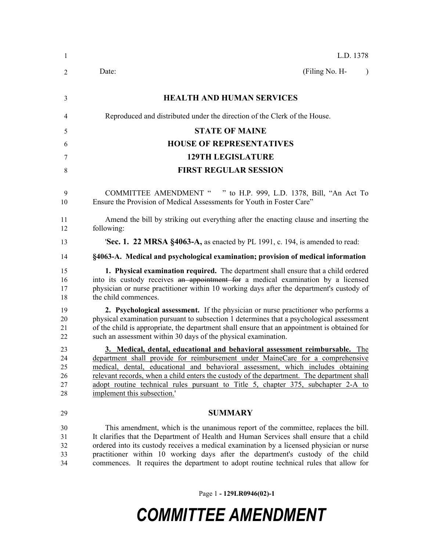| 1                                | L.D. 1378                                                                                                                                                                                                                                                                                                                                                                                                                                                          |
|----------------------------------|--------------------------------------------------------------------------------------------------------------------------------------------------------------------------------------------------------------------------------------------------------------------------------------------------------------------------------------------------------------------------------------------------------------------------------------------------------------------|
| 2                                | Date:<br>(Filing No. H-<br>$\lambda$                                                                                                                                                                                                                                                                                                                                                                                                                               |
| 3                                | <b>HEALTH AND HUMAN SERVICES</b>                                                                                                                                                                                                                                                                                                                                                                                                                                   |
| 4                                | Reproduced and distributed under the direction of the Clerk of the House.                                                                                                                                                                                                                                                                                                                                                                                          |
| 5                                | <b>STATE OF MAINE</b>                                                                                                                                                                                                                                                                                                                                                                                                                                              |
| 6                                | <b>HOUSE OF REPRESENTATIVES</b>                                                                                                                                                                                                                                                                                                                                                                                                                                    |
| 7                                | <b>129TH LEGISLATURE</b>                                                                                                                                                                                                                                                                                                                                                                                                                                           |
| 8                                | <b>FIRST REGULAR SESSION</b>                                                                                                                                                                                                                                                                                                                                                                                                                                       |
| 9<br>10                          | COMMITTEE AMENDMENT " " to H.P. 999, L.D. 1378, Bill, "An Act To<br>Ensure the Provision of Medical Assessments for Youth in Foster Care"                                                                                                                                                                                                                                                                                                                          |
| 11<br>12                         | Amend the bill by striking out everything after the enacting clause and inserting the<br>following:                                                                                                                                                                                                                                                                                                                                                                |
| 13                               | <b>Sec. 1. 22 MRSA §4063-A, as enacted by PL 1991, c. 194, is amended to read:</b>                                                                                                                                                                                                                                                                                                                                                                                 |
| 14                               | §4063-A. Medical and psychological examination; provision of medical information                                                                                                                                                                                                                                                                                                                                                                                   |
| 15<br>16<br>17<br>18             | 1. Physical examination required. The department shall ensure that a child ordered<br>into its custody receives an appointment for a medical examination by a licensed<br>physician or nurse practitioner within 10 working days after the department's custody of<br>the child commences.                                                                                                                                                                         |
| 19<br>20<br>21<br>22             | 2. Psychological assessment. If the physician or nurse practitioner who performs a<br>physical examination pursuant to subsection 1 determines that a psychological assessment<br>of the child is appropriate, the department shall ensure that an appointment is obtained for<br>such an assessment within 30 days of the physical examination.                                                                                                                   |
| 23<br>24<br>25<br>26<br>27<br>28 | 3. Medical, dental, educational and behavioral assessment reimbursable. The<br>department shall provide for reimbursement under MaineCare for a comprehensive<br>medical, dental, educational and behavioral assessment, which includes obtaining<br>relevant records, when a child enters the custody of the department. The department shall<br>adopt routine technical rules pursuant to Title 5, chapter 375, subchapter 2-A to<br>implement this subsection.' |
| 29                               | <b>SUMMARY</b>                                                                                                                                                                                                                                                                                                                                                                                                                                                     |
| 30<br>31<br>32<br>33<br>34       | This amendment, which is the unanimous report of the committee, replaces the bill.<br>It clarifies that the Department of Health and Human Services shall ensure that a child<br>ordered into its custody receives a medical examination by a licensed physician or nurse<br>practitioner within 10 working days after the department's custody of the child<br>commences. It requires the department to adopt routine technical rules that allow for              |

Page 1 **- 129LR0946(02)-1**

## *COMMITTEE AMENDMENT*